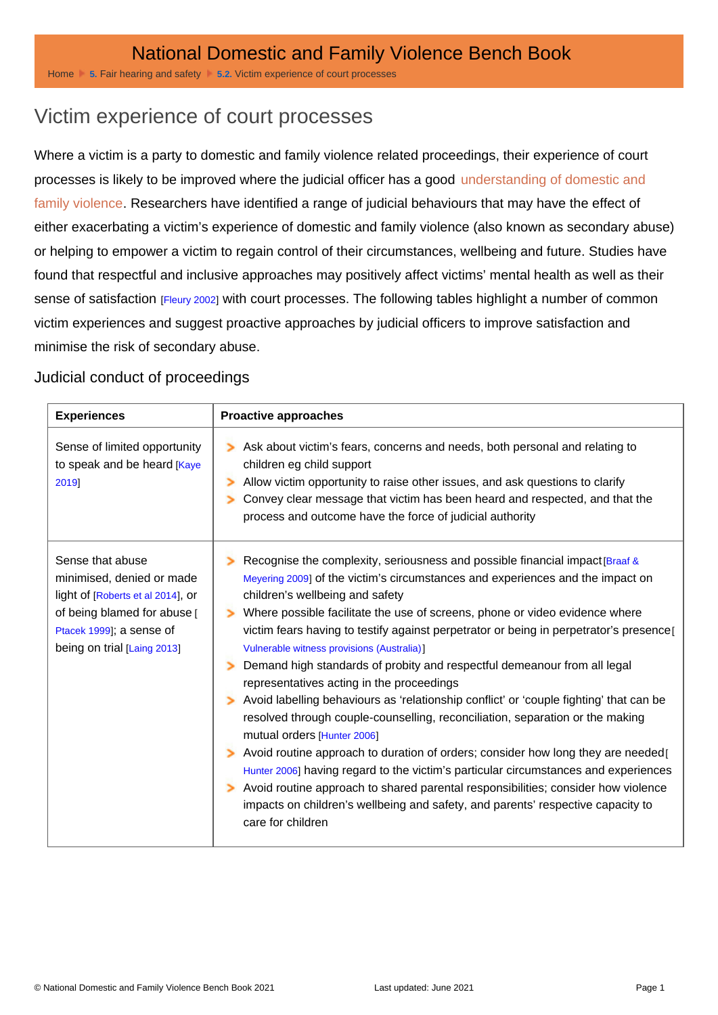## Victim experience of court processes

Where a victim is a party to domestic and family violence related proceedings, their experience of court processes is likely to be improved where the judicial officer has a good [understanding of domestic and](http://dfvbenchbook.aija.org.au/terminology/understanding-domestic-and-family-violence)  [family violence](http://dfvbenchbook.aija.org.au/terminology/understanding-domestic-and-family-violence). Researchers have identified a range of judicial behaviours that may have the effect of either exacerbating a victim's experience of domestic and family violence (also known as secondary abuse) or helping to empower a victim to regain control of their circumstances, wellbeing and future. Studies have found that respectful and inclusive approaches may positively affect victims' mental health as well as their sense of satisfaction [Fleury 2002] with court processes. The following tables highlight a number of common victim experiences and suggest proactive approaches by judicial officers to improve satisfaction and minimise the risk of secondary abuse.

## Judicial conduct of proceedings

| Experiences                                                                                                                                                                  | Proactive approaches                                                                                                                                                                                                                                                                                                                                                                                                                                                                                                                                                                                                                                                                                                                                                                                                                                                                                                                                                                                                                                                                                                               |
|------------------------------------------------------------------------------------------------------------------------------------------------------------------------------|------------------------------------------------------------------------------------------------------------------------------------------------------------------------------------------------------------------------------------------------------------------------------------------------------------------------------------------------------------------------------------------------------------------------------------------------------------------------------------------------------------------------------------------------------------------------------------------------------------------------------------------------------------------------------------------------------------------------------------------------------------------------------------------------------------------------------------------------------------------------------------------------------------------------------------------------------------------------------------------------------------------------------------------------------------------------------------------------------------------------------------|
| Sense of limited opportunity<br>to speak and be heard [Kaye<br>2019]                                                                                                         | Ask about victim's fears, concerns and needs, both personal and relating to<br>children eg child support<br>Allow victim opportunity to raise other issues, and ask questions to clarify<br>Convey clear message that victim has been heard and respected, and that the<br>process and outcome have the force of judicial authority                                                                                                                                                                                                                                                                                                                                                                                                                                                                                                                                                                                                                                                                                                                                                                                                |
| Sense that abuse<br>minimised, denied or made<br>light of [Roberts et al 2014], or<br>of being blamed for abuse [<br>Ptacek 1999]; a sense of<br>being on trial [Laing 2013] | Recognise the complexity, seriousness and possible financial impact [Braaf &<br>Meyering 2009] of the victim's circumstances and experiences and the impact on<br>children's wellbeing and safety<br>Where possible facilitate the use of screens, phone or video evidence where<br>victim fears having to testify against perpetrator or being in perpetrator's presence<br>Vulnerable witness provisions (Australia)]<br>Demand high standards of probity and respectful demeanour from all legal<br>representatives acting in the proceedings<br>Avoid labelling behaviours as 'relationship conflict' or 'couple fighting' that can be<br>resolved through couple-counselling, reconciliation, separation or the making<br>mutual orders [Hunter 2006]<br>Avoid routine approach to duration of orders; consider how long they are needed[<br>Hunter 2006] having regard to the victim's particular circumstances and experiences<br>Avoid routine approach to shared parental responsibilities; consider how violence<br>impacts on children's wellbeing and safety, and parents' respective capacity to<br>care for children |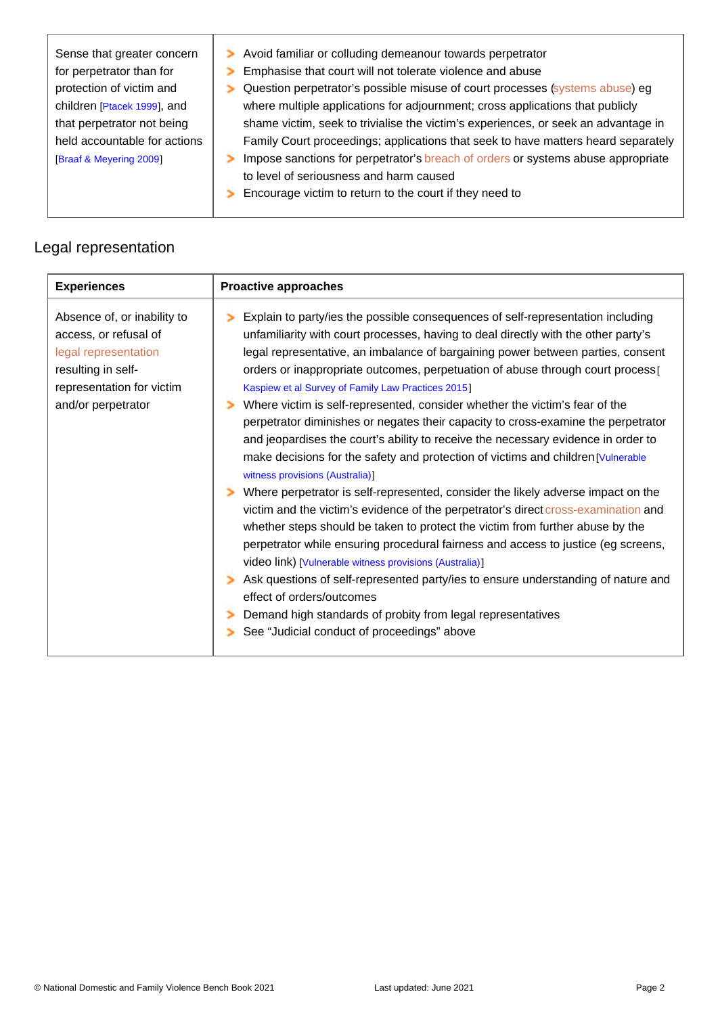| Sense that greater concern<br>for perpetrator than for<br>protection of victim and<br>children [Ptacek 1999], and<br>that perpetrator not being<br>held accountable for actions<br>[Braaf & Meyering 2009] | Avoid familiar or colluding demeanour towards perpetrator<br>Emphasise that court will not tolerate violence and abuse<br>Question perpetrator's possible misuse of court processes (systems abuse) eg<br>where multiple applications for adjournment; cross applications that publicly<br>shame victim, seek to trivialise the victim's experiences, or seek an advantage in<br>Family Court proceedings; applications that seek to have matters heard separately<br>Impose sanctions for perpetrator's breach of orders or systems abuse appropriate<br>to level of seriousness and harm caused<br>Encourage victim to return to the court if they need to |
|------------------------------------------------------------------------------------------------------------------------------------------------------------------------------------------------------------|--------------------------------------------------------------------------------------------------------------------------------------------------------------------------------------------------------------------------------------------------------------------------------------------------------------------------------------------------------------------------------------------------------------------------------------------------------------------------------------------------------------------------------------------------------------------------------------------------------------------------------------------------------------|
|                                                                                                                                                                                                            |                                                                                                                                                                                                                                                                                                                                                                                                                                                                                                                                                                                                                                                              |

## Legal representation

| Experiences                                                                                                                                           | Proactive approaches                                                                                                                                                                                                                                                                                                                                                                                                                                                                                                                                                                                                                                                                                                                                                                                                                                                                                                                                                                                                                                                                                                                                                                                                                                                                                                                                                                                                         |
|-------------------------------------------------------------------------------------------------------------------------------------------------------|------------------------------------------------------------------------------------------------------------------------------------------------------------------------------------------------------------------------------------------------------------------------------------------------------------------------------------------------------------------------------------------------------------------------------------------------------------------------------------------------------------------------------------------------------------------------------------------------------------------------------------------------------------------------------------------------------------------------------------------------------------------------------------------------------------------------------------------------------------------------------------------------------------------------------------------------------------------------------------------------------------------------------------------------------------------------------------------------------------------------------------------------------------------------------------------------------------------------------------------------------------------------------------------------------------------------------------------------------------------------------------------------------------------------------|
| Absence of, or inability to<br>access, or refusal of<br>legal representation<br>resulting in self-<br>representation for victim<br>and/or perpetrator | Explain to party/ies the possible consequences of self-representation including<br>unfamiliarity with court processes, having to deal directly with the other party's<br>legal representative, an imbalance of bargaining power between parties, consent<br>orders or inappropriate outcomes, perpetuation of abuse through court process [<br>Kaspiew et al Survey of Family Law Practices 2015]<br>Where victim is self-represented, consider whether the victim's fear of the<br>perpetrator diminishes or negates their capacity to cross-examine the perpetrator<br>and jeopardises the court's ability to receive the necessary evidence in order to<br>make decisions for the safety and protection of victims and children [Vulnerable<br>witness provisions (Australia)]<br>Where perpetrator is self-represented, consider the likely adverse impact on the<br>victim and the victim's evidence of the perpetrator's direct cross-examination and<br>whether steps should be taken to protect the victim from further abuse by the<br>perpetrator while ensuring procedural fairness and access to justice (eg screens,<br>video link) [Vulnerable witness provisions (Australia)]<br>Ask questions of self-represented party/ies to ensure understanding of nature and<br>effect of orders/outcomes<br>Demand high standards of probity from legal representatives<br>See "Judicial conduct of proceedings" above |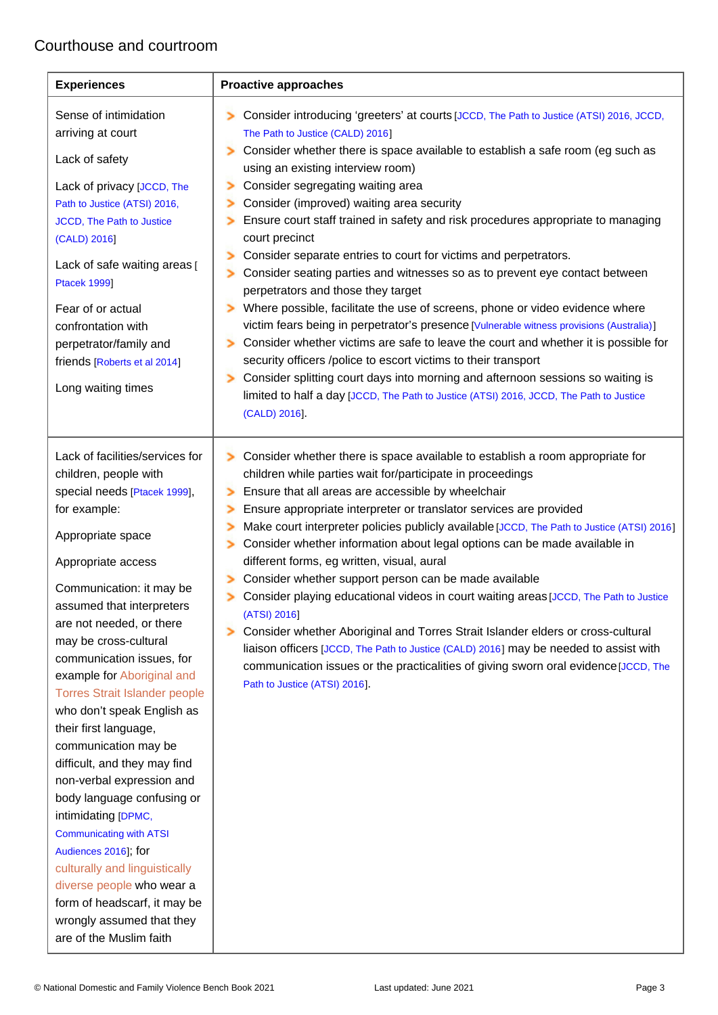## Courthouse and courtroom

| Experiences                          | Proactive approaches                                                                                                                        |
|--------------------------------------|---------------------------------------------------------------------------------------------------------------------------------------------|
| Sense of intimidation                | Consider introducing 'greeters' at courts [JCCD, The Path to Justice (ATSI) 2016, JCCD,                                                     |
| arriving at court                    | The Path to Justice (CALD) 2016]                                                                                                            |
| Lack of safety                       | Consider whether there is space available to establish a safe room (eg such as<br>using an existing interview room)                         |
| Lack of privacy [JCCD, The           | Consider segregating waiting area                                                                                                           |
| Path to Justice (ATSI) 2016,         | Consider (improved) waiting area security                                                                                                   |
| JCCD, The Path to Justice            | Ensure court staff trained in safety and risk procedures appropriate to managing                                                            |
| (CALD) 2016]                         | court precinct                                                                                                                              |
| Lack of safe waiting areas [         | Consider separate entries to court for victims and perpetrators.                                                                            |
| <b>Ptacek 1999]</b>                  | Consider seating parties and witnesses so as to prevent eye contact between                                                                 |
|                                      | perpetrators and those they target                                                                                                          |
| Fear of or actual                    | Where possible, facilitate the use of screens, phone or video evidence where                                                                |
| confrontation with                   | victim fears being in perpetrator's presence [Vulnerable witness provisions (Australia)]                                                    |
| perpetrator/family and               | Consider whether victims are safe to leave the court and whether it is possible for                                                         |
| friends [Roberts et al 2014]         | security officers /police to escort victims to their transport                                                                              |
| Long waiting times                   | Consider splitting court days into morning and afternoon sessions so waiting is                                                             |
|                                      | limited to half a day [JCCD, The Path to Justice (ATSI) 2016, JCCD, The Path to Justice                                                     |
|                                      | (CALD) 2016].                                                                                                                               |
| Lack of facilities/services for      |                                                                                                                                             |
| children, people with                | Consider whether there is space available to establish a room appropriate for<br>children while parties wait for/participate in proceedings |
| special needs [Ptacek 1999],         | Ensure that all areas are accessible by wheelchair                                                                                          |
| for example:                         | Ensure appropriate interpreter or translator services are provided                                                                          |
|                                      | Make court interpreter policies publicly available [JCCD, The Path to Justice (ATSI) 2016]                                                  |
| Appropriate space                    | Consider whether information about legal options can be made available in                                                                   |
| Appropriate access                   | different forms, eg written, visual, aural                                                                                                  |
| Communication: it may be             | Consider whether support person can be made available                                                                                       |
| assumed that interpreters            | Consider playing educational videos in court waiting areas [JCCD, The Path to Justice                                                       |
| are not needed, or there             | (ATSI) 2016]                                                                                                                                |
| may be cross-cultural                | Consider whether Aboriginal and Torres Strait Islander elders or cross-cultural                                                             |
| communication issues, for            | liaison officers [JCCD, The Path to Justice (CALD) 2016] may be needed to assist with                                                       |
| example for Aboriginal and           | communication issues or the practicalities of giving sworn oral evidence [JCCD, The                                                         |
| <b>Torres Strait Islander people</b> | Path to Justice (ATSI) 2016].                                                                                                               |
| who don't speak English as           |                                                                                                                                             |
| their first language,                |                                                                                                                                             |
| communication may be                 |                                                                                                                                             |
| difficult, and they may find         |                                                                                                                                             |
| non-verbal expression and            |                                                                                                                                             |
| body language confusing or           |                                                                                                                                             |
| intimidating [DPMC,                  |                                                                                                                                             |
| <b>Communicating with ATSI</b>       |                                                                                                                                             |
| Audiences 2016]; for                 |                                                                                                                                             |
| culturally and linguistically        |                                                                                                                                             |
| diverse people who wear a            |                                                                                                                                             |
| form of headscarf, it may be         |                                                                                                                                             |
| wrongly assumed that they            |                                                                                                                                             |
| are of the Muslim faith              |                                                                                                                                             |